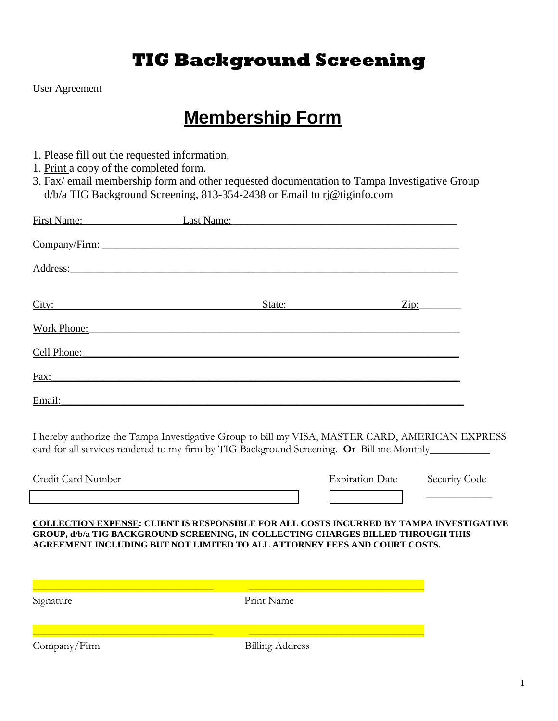## **TIG Background Screening**

User Agreement

# **Membership Form**

- 1. Please fill out the requested information.
- 1. Print a copy of the completed form.
- 3. Fax/ email membership form and other requested documentation to Tampa Investigative Group d/b/a TIG Background Screening, 813-354-2438 or Email to rj@tiginfo.com

| First Name:   | Last Name: |        |      |  |
|---------------|------------|--------|------|--|
| Company/Firm: |            |        |      |  |
| Address:      |            |        |      |  |
| City:         |            | State: | Zip: |  |
| Work Phone:   |            |        |      |  |
| Cell Phone:   |            |        |      |  |
| Fax:          |            |        |      |  |
| Email:        |            |        |      |  |

I hereby authorize the Tampa Investigative Group to bill my VISA, MASTER CARD, AMERICAN EXPRESS card for all services rendered to my firm by TIG Background Screening. **Or** Bill me Monthly\_\_\_\_\_\_\_\_\_\_\_

| Credit Card Number |  | <b>Expiration Date</b> |  | Security Code |  |
|--------------------|--|------------------------|--|---------------|--|
|                    |  |                        |  |               |  |

**COLLECTION EXPENSE: CLIENT IS RESPONSIBLE FOR ALL COSTS INCURRED BY TAMPA INVESTIGATIVE GROUP, d/b/a TIG BACKGROUND SCREENING, IN COLLECTING CHARGES BILLED THROUGH THIS AGREEMENT INCLUDING BUT NOT LIMITED TO ALL ATTORNEY FEES AND COURT COSTS.**

Signature Print Name

\_\_\_\_\_\_\_\_\_\_\_\_\_\_\_\_\_\_\_\_\_\_\_\_\_\_\_\_\_\_\_\_\_ \_\_\_\_\_\_\_\_\_\_\_\_\_\_\_\_\_\_\_\_\_\_\_\_\_\_\_\_\_\_\_\_

\_\_\_\_\_\_\_\_\_\_\_\_\_\_\_\_\_\_\_\_\_\_\_\_\_\_\_\_\_\_\_\_\_ \_\_\_\_\_\_\_\_\_\_\_\_\_\_\_\_\_\_\_\_\_\_\_\_\_\_\_\_\_\_\_\_

Company/Firm Billing Address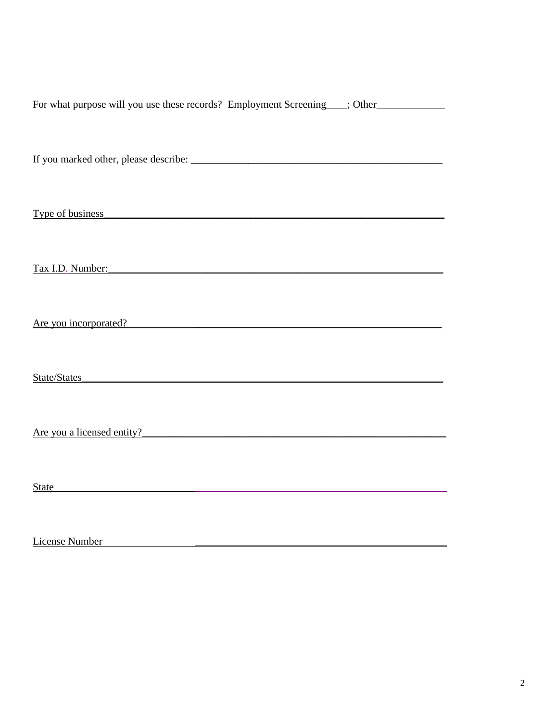| For what purpose will you use these records? Employment Screening___; Other_____________                                                                                                                                      |
|-------------------------------------------------------------------------------------------------------------------------------------------------------------------------------------------------------------------------------|
|                                                                                                                                                                                                                               |
|                                                                                                                                                                                                                               |
|                                                                                                                                                                                                                               |
|                                                                                                                                                                                                                               |
| Type of business Type of business                                                                                                                                                                                             |
|                                                                                                                                                                                                                               |
|                                                                                                                                                                                                                               |
| Tax I.D. Number: Tax I.D. Number:                                                                                                                                                                                             |
|                                                                                                                                                                                                                               |
| Are you incorporated?                                                                                                                                                                                                         |
|                                                                                                                                                                                                                               |
| State/States <b>States States State State State State State State State State State State State State State State State State State State State State State State State State</b>                                             |
|                                                                                                                                                                                                                               |
|                                                                                                                                                                                                                               |
| Are you a licensed entity?                                                                                                                                                                                                    |
|                                                                                                                                                                                                                               |
| State State State State State State State State State State State State State State State State State State State State State State State State State State State State State State State State State State State State State |
|                                                                                                                                                                                                                               |
|                                                                                                                                                                                                                               |

License Number